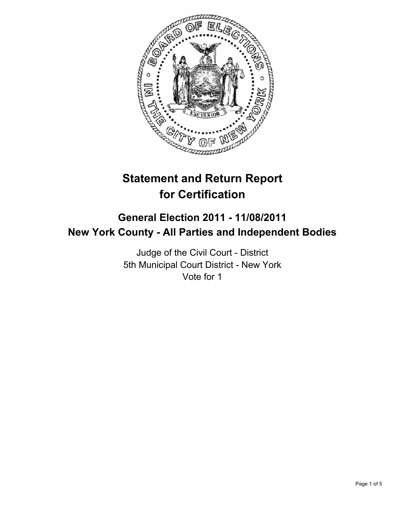

# **Statement and Return Report for Certification**

## **General Election 2011 - 11/08/2011 New York County - All Parties and Independent Bodies**

Judge of the Civil Court - District 5th Municipal Court District - New York Vote for 1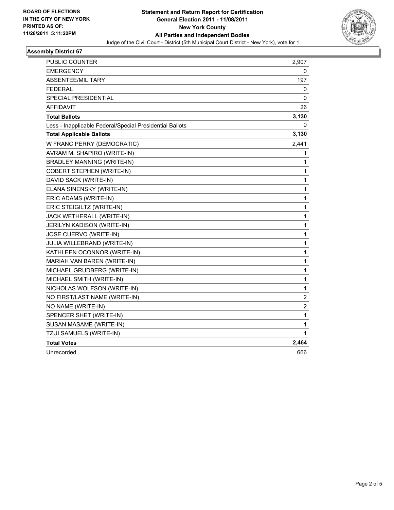

## **Assembly District 67**

| PUBLIC COUNTER                                           | 2,907            |
|----------------------------------------------------------|------------------|
| <b>EMERGENCY</b>                                         | 0                |
| ABSENTEE/MILITARY                                        | 197              |
| <b>FEDERAL</b>                                           | 0                |
| SPECIAL PRESIDENTIAL                                     | 0                |
| <b>AFFIDAVIT</b>                                         | 26               |
| <b>Total Ballots</b>                                     | 3,130            |
| Less - Inapplicable Federal/Special Presidential Ballots | 0                |
| <b>Total Applicable Ballots</b>                          | 3,130            |
| W FRANC PERRY (DEMOCRATIC)                               | 2,441            |
| AVRAM M. SHAPIRO (WRITE-IN)                              | 1                |
| BRADLEY MANNING (WRITE-IN)                               | 1                |
| <b>COBERT STEPHEN (WRITE-IN)</b>                         | 1                |
| DAVID SACK (WRITE-IN)                                    | 1                |
| ELANA SINENSKY (WRITE-IN)                                | 1                |
| ERIC ADAMS (WRITE-IN)                                    | 1                |
| ERIC STEIGILTZ (WRITE-IN)                                | 1                |
| JACK WETHERALL (WRITE-IN)                                | 1                |
| JERILYN KADISON (WRITE-IN)                               | 1                |
| JOSE CUERVO (WRITE-IN)                                   | 1                |
| JULIA WILLEBRAND (WRITE-IN)                              | 1                |
| KATHLEEN OCONNOR (WRITE-IN)                              | 1                |
| MARIAH VAN BAREN (WRITE-IN)                              | 1                |
| MICHAEL GRUDBERG (WRITE-IN)                              | 1                |
| MICHAEL SMITH (WRITE-IN)                                 | 1                |
| NICHOLAS WOLFSON (WRITE-IN)                              | 1                |
| NO FIRST/LAST NAME (WRITE-IN)                            | $\boldsymbol{2}$ |
| NO NAME (WRITE-IN)                                       | 2                |
| SPENCER SHET (WRITE-IN)                                  | 1                |
| SUSAN MASAME (WRITE-IN)                                  | 1                |
| TZUI SAMUELS (WRITE-IN)                                  | 1                |
| <b>Total Votes</b>                                       | 2,464            |
| Unrecorded                                               | 666              |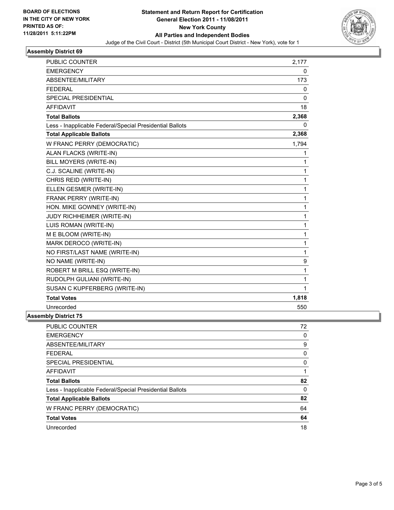

#### **Assembly District 69**

| <b>PUBLIC COUNTER</b>                                    | 2,177        |
|----------------------------------------------------------|--------------|
| <b>EMERGENCY</b>                                         | 0            |
| <b>ABSENTEE/MILITARY</b>                                 | 173          |
| <b>FEDERAL</b>                                           | 0            |
| <b>SPECIAL PRESIDENTIAL</b>                              | $\mathbf{0}$ |
| <b>AFFIDAVIT</b>                                         | 18           |
| <b>Total Ballots</b>                                     | 2,368        |
| Less - Inapplicable Federal/Special Presidential Ballots | 0            |
| <b>Total Applicable Ballots</b>                          | 2,368        |
| W FRANC PERRY (DEMOCRATIC)                               | 1,794        |
| ALAN FLACKS (WRITE-IN)                                   | 1            |
| BILL MOYERS (WRITE-IN)                                   | 1            |
| C.J. SCALINE (WRITE-IN)                                  | 1            |
| CHRIS REID (WRITE-IN)                                    | 1            |
| ELLEN GESMER (WRITE-IN)                                  | 1            |
| FRANK PERRY (WRITE-IN)                                   | 1            |
| HON. MIKE GOWNEY (WRITE-IN)                              | 1            |
| JUDY RICHHEIMER (WRITE-IN)                               | 1            |
| LUIS ROMAN (WRITE-IN)                                    | 1            |
| M E BLOOM (WRITE-IN)                                     | 1            |
| MARK DEROCO (WRITE-IN)                                   | 1            |
| NO FIRST/LAST NAME (WRITE-IN)                            | 1            |
| NO NAME (WRITE-IN)                                       | 9            |
| ROBERT M BRILL ESQ (WRITE-IN)                            | 1            |
| RUDOLPH GULIANI (WRITE-IN)                               | 1            |
| SUSAN C KUPFERBERG (WRITE-IN)                            | 1            |
| <b>Total Votes</b>                                       | 1,818        |
| Unrecorded                                               | 550          |
| <b>Assembly District 75</b>                              |              |

| <b>PUBLIC COUNTER</b>                                    | 72 |
|----------------------------------------------------------|----|
| <b>EMERGENCY</b>                                         | 0  |
| ABSENTEE/MILITARY                                        | 9  |
| <b>FEDERAL</b>                                           | 0  |
| <b>SPECIAL PRESIDENTIAL</b>                              | 0  |
| AFFIDAVIT                                                |    |
| <b>Total Ballots</b>                                     | 82 |
|                                                          |    |
| Less - Inapplicable Federal/Special Presidential Ballots | 0  |
| <b>Total Applicable Ballots</b>                          | 82 |
| W FRANC PERRY (DEMOCRATIC)                               | 64 |
| <b>Total Votes</b>                                       | 64 |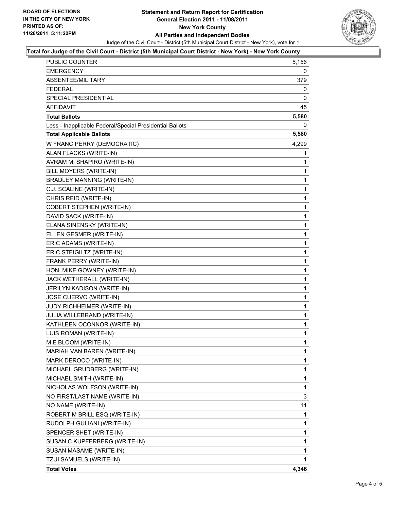

### **Total for Judge of the Civil Court - District (5th Municipal Court District - New York) - New York County**

| PUBLIC COUNTER                                           | 5,156 |
|----------------------------------------------------------|-------|
| <b>EMERGENCY</b>                                         | 0     |
| ABSENTEE/MILITARY                                        | 379   |
| <b>FEDERAL</b>                                           | 0     |
| <b>SPECIAL PRESIDENTIAL</b>                              | 0     |
| AFFIDAVIT                                                | 45    |
| <b>Total Ballots</b>                                     | 5,580 |
| Less - Inapplicable Federal/Special Presidential Ballots | 0     |
| <b>Total Applicable Ballots</b>                          | 5,580 |
| W FRANC PERRY (DEMOCRATIC)                               | 4,299 |
| ALAN FLACKS (WRITE-IN)                                   | 1     |
| AVRAM M. SHAPIRO (WRITE-IN)                              | 1     |
| BILL MOYERS (WRITE-IN)                                   | 1     |
| <b>BRADLEY MANNING (WRITE-IN)</b>                        | 1     |
| C.J. SCALINE (WRITE-IN)                                  | 1     |
| CHRIS REID (WRITE-IN)                                    | 1     |
| <b>COBERT STEPHEN (WRITE-IN)</b>                         | 1     |
| DAVID SACK (WRITE-IN)                                    | 1     |
| ELANA SINENSKY (WRITE-IN)                                | 1     |
| ELLEN GESMER (WRITE-IN)                                  | 1     |
| ERIC ADAMS (WRITE-IN)                                    | 1     |
| ERIC STEIGILTZ (WRITE-IN)                                | 1     |
| FRANK PERRY (WRITE-IN)                                   | 1     |
| HON. MIKE GOWNEY (WRITE-IN)                              | 1     |
| JACK WETHERALL (WRITE-IN)                                | 1     |
| JERILYN KADISON (WRITE-IN)                               | 1     |
| JOSE CUERVO (WRITE-IN)                                   | 1     |
| JUDY RICHHEIMER (WRITE-IN)                               | 1     |
| JULIA WILLEBRAND (WRITE-IN)                              | 1     |
| KATHLEEN OCONNOR (WRITE-IN)                              | 1     |
| LUIS ROMAN (WRITE-IN)                                    | 1     |
| M E BLOOM (WRITE-IN)                                     | 1     |
| MARIAH VAN BAREN (WRITE-IN)                              | 1     |
| MARK DEROCO (WRITE-IN)                                   | 1     |
| MICHAEL GRUDBERG (WRITE-IN)                              | 1     |
| MICHAEL SMITH (WRITE-IN)                                 | 1     |
| NICHOLAS WOLFSON (WRITE-IN)                              | 1     |
| NO FIRST/LAST NAME (WRITE-IN)                            | 3     |
| NO NAME (WRITE-IN)                                       | 11    |
| ROBERT M BRILL ESQ (WRITE-IN)                            | 1     |
| RUDOLPH GULIANI (WRITE-IN)                               | 1     |
| SPENCER SHET (WRITE-IN)                                  | 1     |
| SUSAN C KUPFERBERG (WRITE-IN)                            | 1     |
| SUSAN MASAME (WRITE-IN)                                  | 1     |
| TZUI SAMUELS (WRITE-IN)                                  | 1     |
| <b>Total Votes</b>                                       | 4,346 |